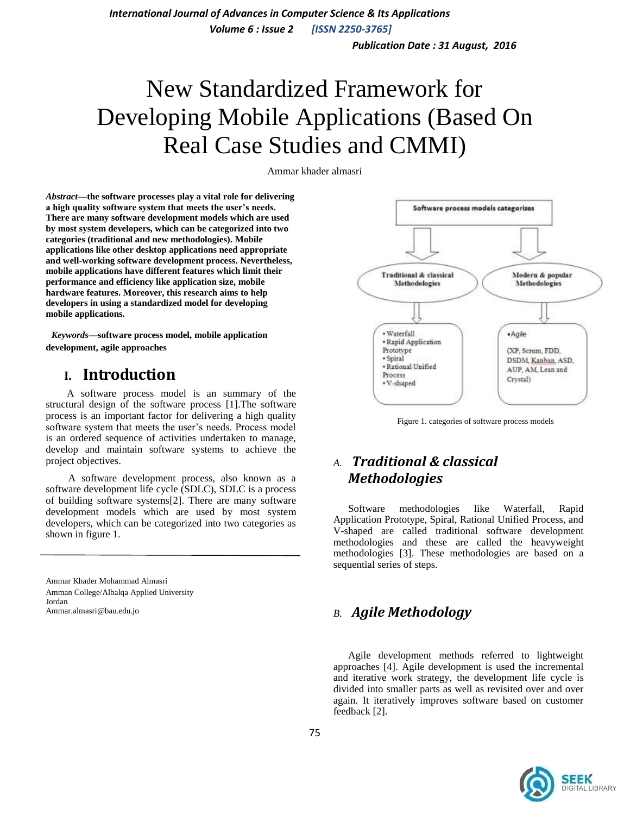*International Journal of Advances in Computer Science & Its Applications*

 *Volume 6 : Issue 2 [ISSN 2250-3765]*

 *Publication Date : 31 August, 2016*

# New Standardized Framework for Developing Mobile Applications (Based On Real Case Studies and CMMI)

Ammar khader almasri

*Abstract—***the software processes play a vital role for delivering a high quality software system that meets the user's needs. There are many software development models which are used by most system developers, which can be categorized into two categories (traditional and new methodologies). Mobile applications like other desktop applications need appropriate and well-working software development process. Nevertheless, mobile applications have different features which limit their performance and efficiency like application size, mobile hardware features. Moreover, this research aims to help developers in using a standardized model for developing mobile applications.**

 *Keywords—***software process model, mobile application development, agile approaches**

## **I. Introduction**

 A software process model is an summary of the structural design of the software process [1].The software process is an important factor for delivering a high quality software system that meets the user's needs. Process model is an ordered sequence of activities undertaken to manage, develop and maintain software systems to achieve the project objectives.

 A software development process, also known as a software development life cycle (SDLC), SDLC is a process of building software systems[2]. There are many software development models which are used by most system developers, which can be categorized into two categories as shown in figure 1.

Ammar Khader Mohammad Almasri Amman College/Albalqa Applied University Jordan Ammar.almasri@bau.edu.jo



Figure 1. categories of software process models

## *A. Traditional & classical Methodologies*

Software methodologies like Waterfall, Rapid Application Prototype, Spiral, Rational Unified Process, and V-shaped are called traditional software development methodologies and these are called the heavyweight methodologies [3]. These methodologies are based on a sequential series of steps.

## *B. Agile Methodology*

Agile development methods referred to lightweight approaches [4]. Agile development is used the incremental and iterative work strategy, the development life cycle is divided into smaller parts as well as revisited over and over again. It iteratively improves software based on customer feedback [2].

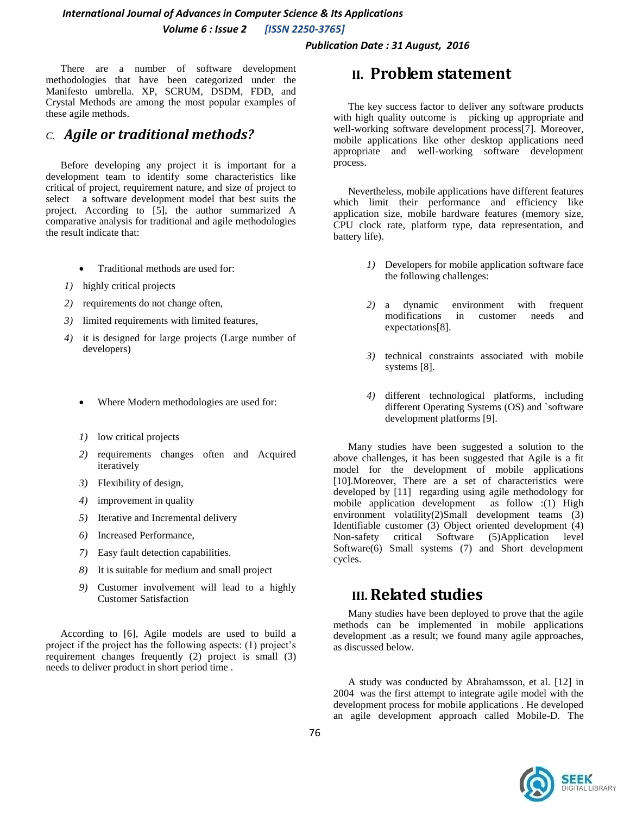*International Journal of Advances in Computer Science & Its Applications Volume 6 : Issue 2 [ISSN 2250-3765]*

 *Publication Date : 31 August, 2016*

There are a number of software development methodologies that have been categorized under the Manifesto umbrella. XP, SCRUM, DSDM, FDD, and Crystal Methods are among the most popular examples of these agile methods.

## *C. Agile or traditional methods?*

Before developing any project it is important for a development team to identify some characteristics like critical of project, requirement nature, and size of project to select a software development model that best suits the project. According to [5], the author summarized A comparative analysis for traditional and agile methodologies the result indicate that:

- Traditional methods are used for:
- *1)* highly critical projects
- *2)* requirements do not change often,
- *3)* limited requirements with limited features,
- *4)* it is designed for large projects (Large number of developers)
	- Where Modern methodologies are used for:
	- *1)* low critical projects
	- *2)* requirements changes often and Acquired iteratively
	- *3)* Flexibility of design,
	- *4)* improvement in quality
	- *5)* Iterative and Incremental delivery
	- *6)* Increased Performance,
	- *7)* Easy fault detection capabilities.
	- *8)* It is suitable for medium and small project
	- *9)* Customer involvement will lead to a highly Customer Satisfaction

According to [6], Agile models are used to build a project if the project has the following aspects: (1) project's requirement changes frequently (2) project is small (3) needs to deliver product in short period time .

## **II. Problem statement**

The key success factor to deliver any software products with high quality outcome is picking up appropriate and well-working software development process[7]. Moreover, mobile applications like other desktop applications need appropriate and well-working software development process.

Nevertheless, mobile applications have different features which limit their performance and efficiency like application size, mobile hardware features (memory size, CPU clock rate, platform type, data representation, and battery life).

- *1)* Developers for mobile application software face the following challenges:
- *2)* a dynamic environment with frequent modifications in customer needs and expectations[8].
- *3)* technical constraints associated with mobile systems [8].
- *4)* different technological platforms, including different Operating Systems (OS) and `software development platforms [9].

Many studies have been suggested a solution to the above challenges, it has been suggested that Agile is a fit model for the development of mobile applications [10]. Moreover, There are a set of characteristics were developed by [11] regarding using agile methodology for mobile application development as follow :(1) High environment volatility(2)Small development teams (3) Identifiable customer (3) Object oriented development (4) Non-safety critical Software (5)Application level Software(6) Small systems (7) and Short development cycles.

## **III.Related studies**

Many studies have been deployed to prove that the agile methods can be implemented in mobile applications development .as a result; we found many agile approaches, as discussed below.

A study was conducted by Abrahamsson, et al. [12] in 2004 was the first attempt to integrate agile model with the development process for mobile applications . He developed an agile development approach called Mobile-D. The

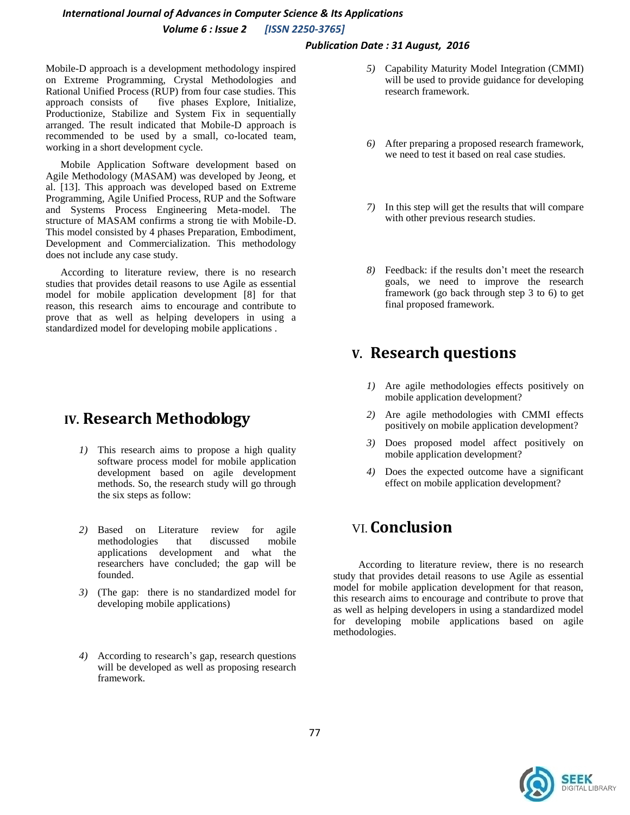## *International Journal of Advances in Computer Science & Its Applications Volume 6 : Issue 2 [ISSN 2250-3765]*

#### *Publication Date : 31 August, 2016*

Mobile-D approach is a development methodology inspired on Extreme Programming, Crystal Methodologies and Rational Unified Process (RUP) from four case studies. This approach consists of five phases Explore, Initialize, Productionize, Stabilize and System Fix in sequentially arranged. The result indicated that Mobile-D approach is recommended to be used by a small, co-located team, working in a short development cycle.

Mobile Application Software development based on Agile Methodology (MASAM) was developed by Jeong, et al. [13]. This approach was developed based on Extreme Programming, Agile Unified Process, RUP and the Software and Systems Process Engineering Meta-model. The structure of MASAM confirms a strong tie with Mobile-D. This model consisted by 4 phases Preparation, Embodiment, Development and Commercialization. This methodology does not include any case study.

According to literature review, there is no research studies that provides detail reasons to use Agile as essential model for mobile application development [8] for that reason, this research aims to encourage and contribute to prove that as well as helping developers in using a standardized model for developing mobile applications .

# **IV. Research Methodology**

- *1)* This research aims to propose a high quality software process model for mobile application development based on agile development methods. So, the research study will go through the six steps as follow:
- *2)* Based on Literature review for agile methodologies that discussed mobile applications development and what the researchers have concluded; the gap will be founded.
- *3)* (The gap: there is no standardized model for developing mobile applications)
- *4)* According to research's gap, research questions will be developed as well as proposing research framework.
- *5)* Capability Maturity Model Integration (CMMI) will be used to provide guidance for developing research framework.
- *6)* After preparing a proposed research framework, we need to test it based on real case studies.
- *7)* In this step will get the results that will compare with other previous research studies.
- *8)* Feedback: if the results don't meet the research goals, we need to improve the research framework (go back through step 3 to 6) to get final proposed framework.

## **V. Research questions**

- *1)* Are agile methodologies effects positively on mobile application development?
- *2)* Are agile methodologies with CMMI effects positively on mobile application development?
- *3)* Does proposed model affect positively on mobile application development?
- *4)* Does the expected outcome have a significant effect on mobile application development?

# VI. **Conclusion**

 According to literature review, there is no research study that provides detail reasons to use Agile as essential model for mobile application development for that reason, this research aims to encourage and contribute to prove that as well as helping developers in using a standardized model for developing mobile applications based on agile methodologies.